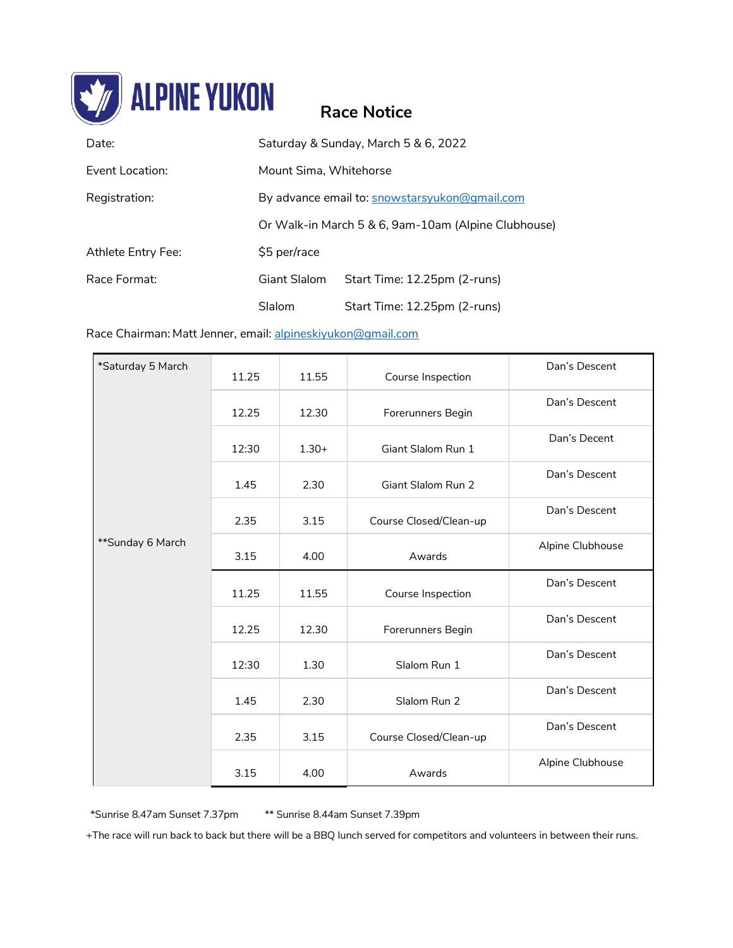

# **Race Notice**

| Date:              | Saturday & Sunday, March 5 & 6, 2022                |                              |  |
|--------------------|-----------------------------------------------------|------------------------------|--|
| Event Location:    | Mount Sima, Whitehorse                              |                              |  |
| Registration:      | By advance email to: snowstarsyukon@gmail.com       |                              |  |
|                    | Or Walk-in March 5 & 6, 9am-10am (Alpine Clubhouse) |                              |  |
| Athlete Entry Fee: | \$5 per/race                                        |                              |  |
| Race Format:       | Giant Slalom                                        | Start Time: 12.25pm (2-runs) |  |
|                    | Slalom                                              | Start Time: 12.25pm (2-runs) |  |

### Race Chairman: Matt Jenner, email: [alpineskiyukon@gmail.com](mailto:alpineskiyukon@gmail.com)

| *Saturday 5 March<br>**Sunday 6 March | 11.25 | 11.55   | Course Inspection      | Dan's Descent    |
|---------------------------------------|-------|---------|------------------------|------------------|
|                                       | 12.25 | 12.30   | Forerunners Begin      | Dan's Descent    |
|                                       | 12:30 | $1.30+$ | Giant Slalom Run 1     | Dan's Decent     |
|                                       | 1.45  | 2.30    | Giant Slalom Run 2     | Dan's Descent    |
|                                       | 2.35  | 3.15    | Course Closed/Clean-up | Dan's Descent    |
|                                       | 3.15  | 4.00    | Awards                 | Alpine Clubhouse |
|                                       | 11.25 | 11.55   | Course Inspection      | Dan's Descent    |
|                                       | 12.25 | 12.30   | Forerunners Begin      | Dan's Descent    |
|                                       | 12:30 | 1.30    | Slalom Run 1           | Dan's Descent    |
|                                       | 1.45  | 2.30    | Slalom Run 2           | Dan's Descent    |
|                                       | 2.35  | 3.15    | Course Closed/Clean-up | Dan's Descent    |
|                                       | 3.15  | 4.00    | Awards                 | Alpine Clubhouse |

\*Sunrise 8.47am Sunset 7.37pm \*\* Sunrise 8.44am Sunset 7.39pm

+The race will run back to back but there will be a BBQ lunch served for competitors and volunteers in between their runs.